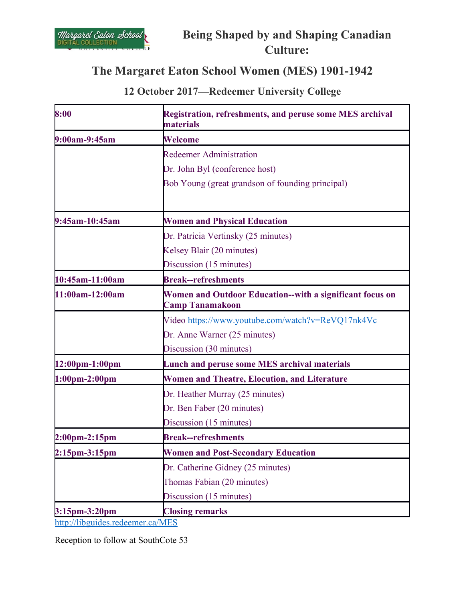

# **Being Shaped by and Shaping Canadian Culture:**

## **The Margaret Eaton School Women (MES) 1901-1942**

## **12 October 2017—Redeemer University College**

| 8:00                              | <b>Registration, refreshments, and peruse some MES archival</b><br>materials       |
|-----------------------------------|------------------------------------------------------------------------------------|
| 9:00am-9:45am                     | <b>Welcome</b>                                                                     |
|                                   | <b>Redeemer Administration</b>                                                     |
|                                   | Dr. John Byl (conference host)                                                     |
|                                   | Bob Young (great grandson of founding principal)                                   |
| 9:45am-10:45am                    | <b>Women and Physical Education</b>                                                |
|                                   | Dr. Patricia Vertinsky (25 minutes)                                                |
|                                   | Kelsey Blair (20 minutes)                                                          |
|                                   | Discussion (15 minutes)                                                            |
| 10:45am-11:00am                   | <b>Break--refreshments</b>                                                         |
| 11:00am-12:00am                   | Women and Outdoor Education--with a significant focus on<br><b>Camp Tanamakoon</b> |
|                                   | Video https://www.youtube.com/watch?v=ReVQ17nk4Vc                                  |
|                                   | Dr. Anne Warner (25 minutes)                                                       |
|                                   | Discussion (30 minutes)                                                            |
| 12:00pm-1:00pm                    | <b>Lunch and peruse some MES archival materials</b>                                |
| $1:00 \text{pm} - 2:00 \text{pm}$ | <b>Women and Theatre, Elocution, and Literature</b>                                |
|                                   | Dr. Heather Murray (25 minutes)                                                    |
|                                   | Dr. Ben Faber (20 minutes)                                                         |
|                                   | Discussion (15 minutes)                                                            |
| $2:00 \text{pm} - 2:15 \text{pm}$ | <b>Break--refreshments</b>                                                         |
| $2:15pm-3:15pm$                   | <b>Women and Post-Secondary Education</b>                                          |
|                                   | Dr. Catherine Gidney (25 minutes)                                                  |
|                                   | Thomas Fabian (20 minutes)                                                         |
|                                   | Discussion (15 minutes)                                                            |
| 3:15pm-3:20pm                     | <b>Closing remarks</b>                                                             |

<http://libguides.redeemer.ca/MES>

Reception to follow at SouthCote 53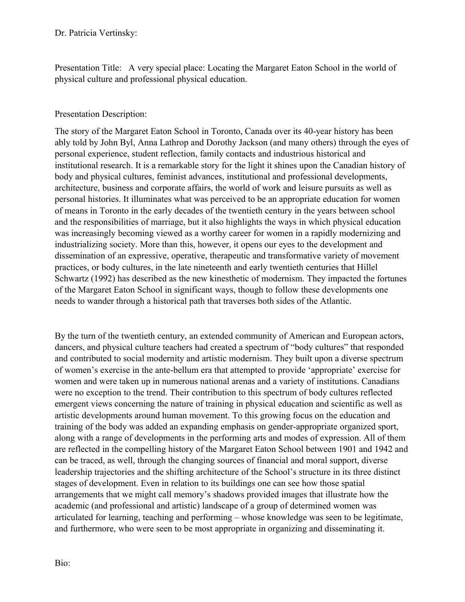Dr. Patricia Vertinsky:

Presentation Title: A very special place: Locating the Margaret Eaton School in the world of physical culture and professional physical education.

#### Presentation Description:

The story of the Margaret Eaton School in Toronto, Canada over its 40-year history has been ably told by John Byl, Anna Lathrop and Dorothy Jackson (and many others) through the eyes of personal experience, student reflection, family contacts and industrious historical and institutional research. It is a remarkable story for the light it shines upon the Canadian history of body and physical cultures, feminist advances, institutional and professional developments, architecture, business and corporate affairs, the world of work and leisure pursuits as well as personal histories. It illuminates what was perceived to be an appropriate education for women of means in Toronto in the early decades of the twentieth century in the years between school and the responsibilities of marriage, but it also highlights the ways in which physical education was increasingly becoming viewed as a worthy career for women in a rapidly modernizing and industrializing society. More than this, however, it opens our eyes to the development and dissemination of an expressive, operative, therapeutic and transformative variety of movement practices, or body cultures, in the late nineteenth and early twentieth centuries that Hillel Schwartz (1992) has described as the new kinesthetic of modernism. They impacted the fortunes of the Margaret Eaton School in significant ways, though to follow these developments one needs to wander through a historical path that traverses both sides of the Atlantic.

By the turn of the twentieth century, an extended community of American and European actors, dancers, and physical culture teachers had created a spectrum of "body cultures" that responded and contributed to social modernity and artistic modernism. They built upon a diverse spectrum of women's exercise in the ante-bellum era that attempted to provide 'appropriate' exercise for women and were taken up in numerous national arenas and a variety of institutions. Canadians were no exception to the trend. Their contribution to this spectrum of body cultures reflected emergent views concerning the nature of training in physical education and scientific as well as artistic developments around human movement. To this growing focus on the education and training of the body was added an expanding emphasis on gender-appropriate organized sport, along with a range of developments in the performing arts and modes of expression. All of them are reflected in the compelling history of the Margaret Eaton School between 1901 and 1942 and can be traced, as well, through the changing sources of financial and moral support, diverse leadership trajectories and the shifting architecture of the School's structure in its three distinct stages of development. Even in relation to its buildings one can see how those spatial arrangements that we might call memory's shadows provided images that illustrate how the academic (and professional and artistic) landscape of a group of determined women was articulated for learning, teaching and performing – whose knowledge was seen to be legitimate, and furthermore, who were seen to be most appropriate in organizing and disseminating it.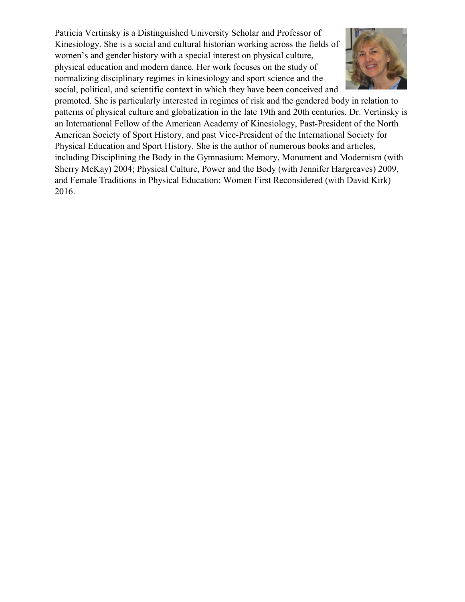Patricia Vertinsky is a Distinguished University Scholar and Professor of Kinesiology. She is a social and cultural historian working across the fields of women's and gender history with a special interest on physical culture, physical education and modern dance. Her work focuses on the study of normalizing disciplinary regimes in kinesiology and sport science and the social, political, and scientific context in which they have been conceived and



promoted. She is particularly interested in regimes of risk and the gendered body in relation to patterns of physical culture and globalization in the late 19th and 20th centuries. Dr. Vertinsky is an International Fellow of the American Academy of Kinesiology, Past-President of the North American Society of Sport History, and past Vice-President of the International Society for Physical Education and Sport History. She is the author of numerous books and articles, including Disciplining the Body in the Gymnasium: Memory, Monument and Modernism (with Sherry McKay) 2004; Physical Culture, Power and the Body (with Jennifer Hargreaves) 2009, and Female Traditions in Physical Education: Women First Reconsidered (with David Kirk) 2016.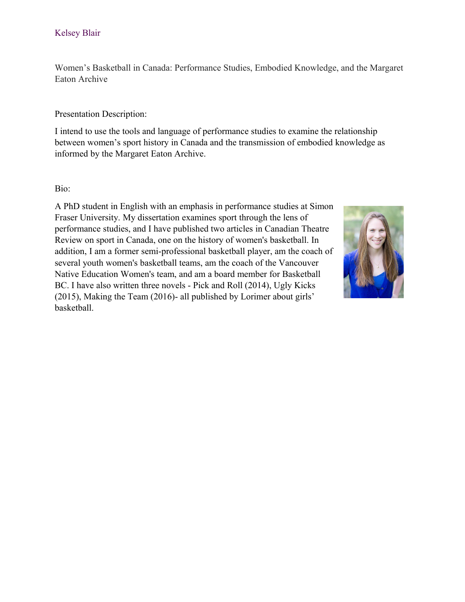Women's Basketball in Canada: Performance Studies, Embodied Knowledge, and the Margaret Eaton Archive

#### Presentation Description:

I intend to use the tools and language of performance studies to examine the relationship between women's sport history in Canada and the transmission of embodied knowledge as informed by the Margaret Eaton Archive.

#### Bio:

A PhD student in English with an emphasis in performance studies at Simon Fraser University. My dissertation examines sport through the lens of performance studies, and I have published two articles in Canadian Theatre Review on sport in Canada, one on the history of women's basketball. In addition, I am a former semi-professional basketball player, am the coach of several youth women's basketball teams, am the coach of the Vancouver Native Education Women's team, and am a board member for Basketball BC. I have also written three novels - Pick and Roll (2014), Ugly Kicks (2015), Making the Team (2016)- all published by Lorimer about girls' basketball.

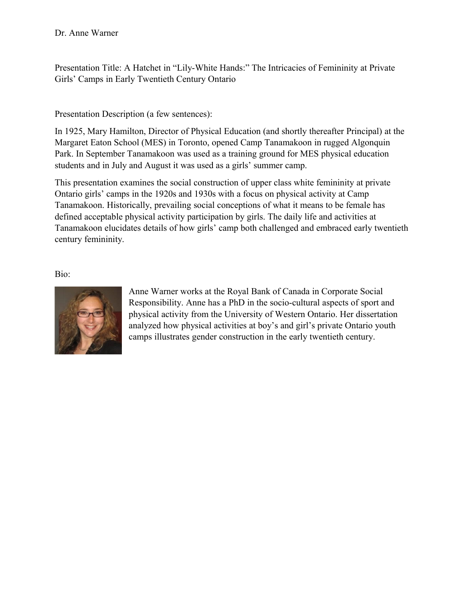Presentation Title: A Hatchet in "Lily-White Hands:" The Intricacies of Femininity at Private Girls' Camps in Early Twentieth Century Ontario

### Presentation Description (a few sentences):

In 1925, Mary Hamilton, Director of Physical Education (and shortly thereafter Principal) at the Margaret Eaton School (MES) in Toronto, opened Camp Tanamakoon in rugged Algonquin Park. In September Tanamakoon was used as a training ground for MES physical education students and in July and August it was used as a girls' summer camp.

This presentation examines the social construction of upper class white femininity at private Ontario girls' camps in the 1920s and 1930s with a focus on physical activity at Camp Tanamakoon. Historically, prevailing social conceptions of what it means to be female has defined acceptable physical activity participation by girls. The daily life and activities at Tanamakoon elucidates details of how girls' camp both challenged and embraced early twentieth century femininity.

Bio:



Anne Warner works at the Royal Bank of Canada in Corporate Social Responsibility. Anne has a PhD in the socio-cultural aspects of sport and physical activity from the University of Western Ontario. Her dissertation analyzed how physical activities at boy's and girl's private Ontario youth camps illustrates gender construction in the early twentieth century.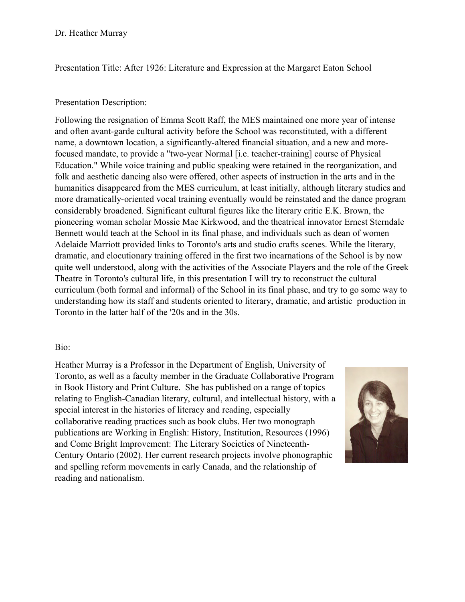Presentation Title: After 1926: Literature and Expression at the Margaret Eaton School

#### Presentation Description:

Following the resignation of Emma Scott Raff, the MES maintained one more year of intense and often avant-garde cultural activity before the School was reconstituted, with a different name, a downtown location, a significantly-altered financial situation, and a new and morefocused mandate, to provide a "two-year Normal [i.e. teacher-training] course of Physical Education." While voice training and public speaking were retained in the reorganization, and folk and aesthetic dancing also were offered, other aspects of instruction in the arts and in the humanities disappeared from the MES curriculum, at least initially, although literary studies and more dramatically-oriented vocal training eventually would be reinstated and the dance program considerably broadened. Significant cultural figures like the literary critic E.K. Brown, the pioneering woman scholar Mossie Mae Kirkwood, and the theatrical innovator Ernest Sterndale Bennett would teach at the School in its final phase, and individuals such as dean of women Adelaide Marriott provided links to Toronto's arts and studio crafts scenes. While the literary, dramatic, and elocutionary training offered in the first two incarnations of the School is by now quite well understood, along with the activities of the Associate Players and the role of the Greek Theatre in Toronto's cultural life, in this presentation I will try to reconstruct the cultural curriculum (both formal and informal) of the School in its final phase, and try to go some way to understanding how its staff and students oriented to literary, dramatic, and artistic production in Toronto in the latter half of the '20s and in the 30s.

#### Bio:

Heather Murray is a Professor in the Department of English, University of Toronto, as well as a faculty member in the Graduate Collaborative Program in Book History and Print Culture. She has published on a range of topics relating to English-Canadian literary, cultural, and intellectual history, with a special interest in the histories of literacy and reading, especially collaborative reading practices such as book clubs. Her two monograph publications are Working in English: History, Institution, Resources (1996) and Come Bright Improvement: The Literary Societies of Nineteenth-Century Ontario (2002). Her current research projects involve phonographic and spelling reform movements in early Canada, and the relationship of reading and nationalism.

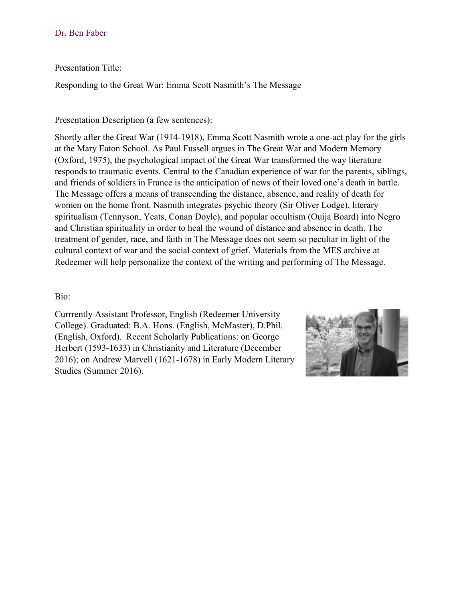#### Dr. Ben Faber

#### Presentation Title:

Responding to the Great War: Emma Scott Nasmith's The Message

#### Presentation Description (a few sentences):

Shortly after the Great War (1914-1918), Emma Scott Nasmith wrote a one-act play for the girls at the Mary Eaton School. As Paul Fussell argues in The Great War and Modern Memory (Oxford, 1975), the psychological impact of the Great War transformed the way literature responds to traumatic events. Central to the Canadian experience of war for the parents, siblings, and friends of soldiers in France is the anticipation of news of their loved one's death in battle. The Message offers a means of transcending the distance, absence, and reality of death for women on the home front. Nasmith integrates psychic theory (Sir Oliver Lodge), literary spiritualism (Tennyson, Yeats, Conan Doyle), and popular occultism (Ouija Board) into Negro and Christian spirituality in order to heal the wound of distance and absence in death. The treatment of gender, race, and faith in The Message does not seem so peculiar in light of the cultural context of war and the social context of grief. Materials from the MES archive at Redeemer will help personalize the context of the writing and performing of The Message.

#### Bio:

Currrently Assistant Professor, English (Redeemer University College). Graduated: B.A. Hons. (English, McMaster), D.Phil. (English, Oxford). Recent Scholarly Publications: on George Herbert (1593-1633) in Christianity and Literature (December 2016); on Andrew Marvell (1621-1678) in Early Modern Literary Studies (Summer 2016).

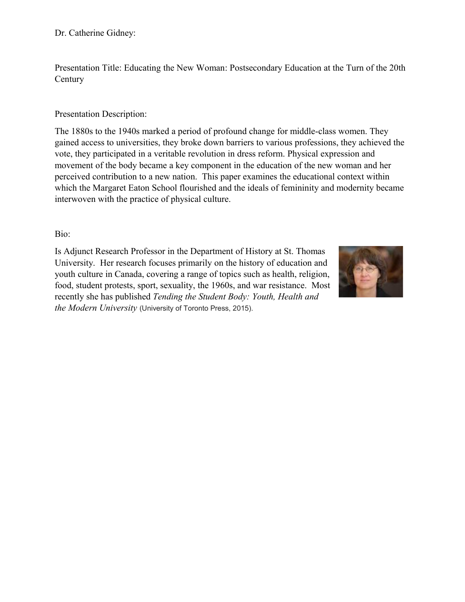Dr. Catherine Gidney:

Presentation Title: Educating the New Woman: Postsecondary Education at the Turn of the 20th **Century** 

#### Presentation Description:

The 1880s to the 1940s marked a period of profound change for middle-class women. They gained access to universities, they broke down barriers to various professions, they achieved the vote, they participated in a veritable revolution in dress reform. Physical expression and movement of the body became a key component in the education of the new woman and her perceived contribution to a new nation. This paper examines the educational context within which the Margaret Eaton School flourished and the ideals of femininity and modernity became interwoven with the practice of physical culture.

Bio:

Is Adjunct Research Professor in the Department of History at St. Thomas University. Her research focuses primarily on the history of education and youth culture in Canada, covering a range of topics such as health, religion, food, student protests, sport, sexuality, the 1960s, and war resistance. Most recently she has published *Tending the Student Body: Youth, Health and the Modern University* (University of Toronto Press, 2015).

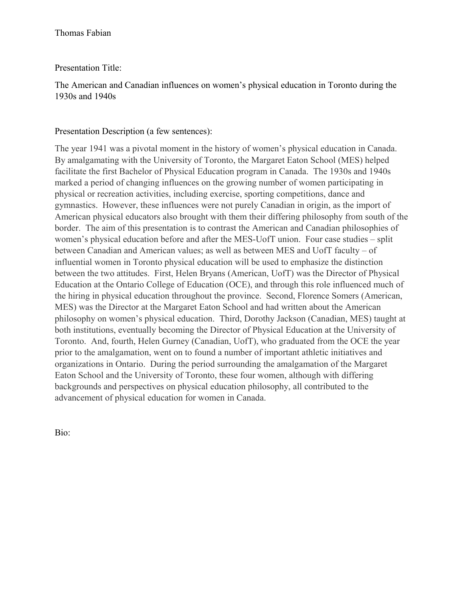### Presentation Title:

The American and Canadian influences on women's physical education in Toronto during the 1930s and 1940s

#### Presentation Description (a few sentences):

The year 1941 was a pivotal moment in the history of women's physical education in Canada. By amalgamating with the University of Toronto, the Margaret Eaton School (MES) helped facilitate the first Bachelor of Physical Education program in Canada. The 1930s and 1940s marked a period of changing influences on the growing number of women participating in physical or recreation activities, including exercise, sporting competitions, dance and gymnastics. However, these influences were not purely Canadian in origin, as the import of American physical educators also brought with them their differing philosophy from south of the border. The aim of this presentation is to contrast the American and Canadian philosophies of women's physical education before and after the MES-UofT union. Four case studies – split between Canadian and American values; as well as between MES and UofT faculty – of influential women in Toronto physical education will be used to emphasize the distinction between the two attitudes. First, Helen Bryans (American, UofT) was the Director of Physical Education at the Ontario College of Education (OCE), and through this role influenced much of the hiring in physical education throughout the province. Second, Florence Somers (American, MES) was the Director at the Margaret Eaton School and had written about the American philosophy on women's physical education. Third, Dorothy Jackson (Canadian, MES) taught at both institutions, eventually becoming the Director of Physical Education at the University of Toronto. And, fourth, Helen Gurney (Canadian, UofT), who graduated from the OCE the year prior to the amalgamation, went on to found a number of important athletic initiatives and organizations in Ontario. During the period surrounding the amalgamation of the Margaret Eaton School and the University of Toronto, these four women, although with differing backgrounds and perspectives on physical education philosophy, all contributed to the advancement of physical education for women in Canada.

Bio: